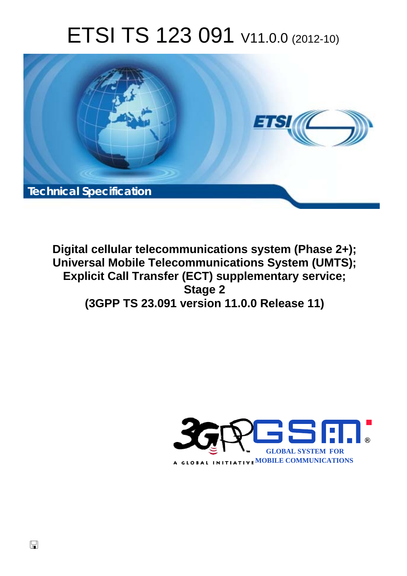# ETSI TS 123 091 V11.0.0 (2012-10)



**Digital cellular telecommunications system (Phase 2+); Universal Mobile Telecommunications System (UMTS); Explicit Call Transfer (ECT) supplementary service; Stage 2 (3GPP TS 23.091 version 11.0.0 Release 11)** 

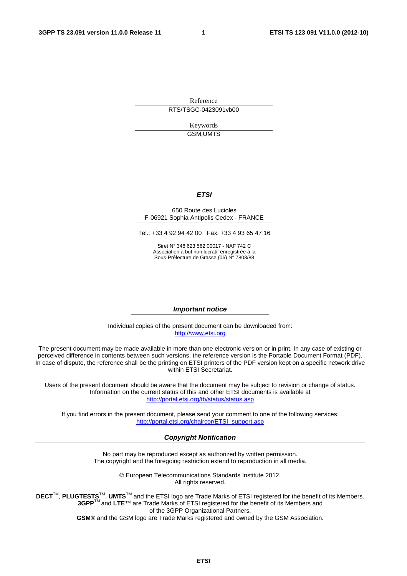Reference RTS/TSGC-0423091vb00

> Keywords GSM,UMTS

#### *ETSI*

#### 650 Route des Lucioles F-06921 Sophia Antipolis Cedex - FRANCE

Tel.: +33 4 92 94 42 00 Fax: +33 4 93 65 47 16

Siret N° 348 623 562 00017 - NAF 742 C Association à but non lucratif enregistrée à la Sous-Préfecture de Grasse (06) N° 7803/88

#### *Important notice*

Individual copies of the present document can be downloaded from: [http://www.etsi.org](http://www.etsi.org/)

The present document may be made available in more than one electronic version or in print. In any case of existing or perceived difference in contents between such versions, the reference version is the Portable Document Format (PDF). In case of dispute, the reference shall be the printing on ETSI printers of the PDF version kept on a specific network drive within ETSI Secretariat.

Users of the present document should be aware that the document may be subject to revision or change of status. Information on the current status of this and other ETSI documents is available at <http://portal.etsi.org/tb/status/status.asp>

If you find errors in the present document, please send your comment to one of the following services: [http://portal.etsi.org/chaircor/ETSI\\_support.asp](http://portal.etsi.org/chaircor/ETSI_support.asp)

#### *Copyright Notification*

No part may be reproduced except as authorized by written permission. The copyright and the foregoing restriction extend to reproduction in all media.

> © European Telecommunications Standards Institute 2012. All rights reserved.

DECT<sup>™</sup>, PLUGTESTS<sup>™</sup>, UMTS<sup>™</sup> and the ETSI logo are Trade Marks of ETSI registered for the benefit of its Members. **3GPP**TM and **LTE**™ are Trade Marks of ETSI registered for the benefit of its Members and of the 3GPP Organizational Partners.

**GSM**® and the GSM logo are Trade Marks registered and owned by the GSM Association.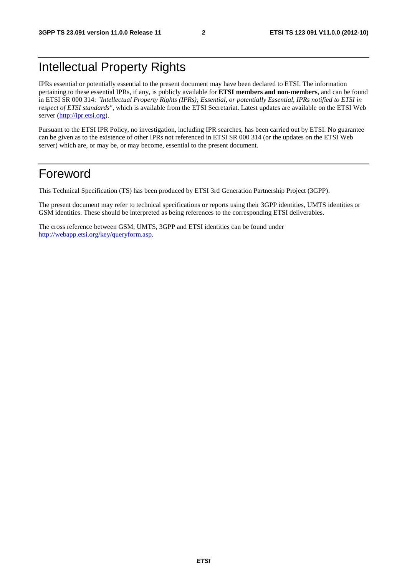## Intellectual Property Rights

IPRs essential or potentially essential to the present document may have been declared to ETSI. The information pertaining to these essential IPRs, if any, is publicly available for **ETSI members and non-members**, and can be found in ETSI SR 000 314: *"Intellectual Property Rights (IPRs); Essential, or potentially Essential, IPRs notified to ETSI in respect of ETSI standards"*, which is available from the ETSI Secretariat. Latest updates are available on the ETSI Web server ([http://ipr.etsi.org\)](http://webapp.etsi.org/IPR/home.asp).

Pursuant to the ETSI IPR Policy, no investigation, including IPR searches, has been carried out by ETSI. No guarantee can be given as to the existence of other IPRs not referenced in ETSI SR 000 314 (or the updates on the ETSI Web server) which are, or may be, or may become, essential to the present document.

## Foreword

This Technical Specification (TS) has been produced by ETSI 3rd Generation Partnership Project (3GPP).

The present document may refer to technical specifications or reports using their 3GPP identities, UMTS identities or GSM identities. These should be interpreted as being references to the corresponding ETSI deliverables.

The cross reference between GSM, UMTS, 3GPP and ETSI identities can be found under [http://webapp.etsi.org/key/queryform.asp.](http://webapp.etsi.org/key/queryform.asp)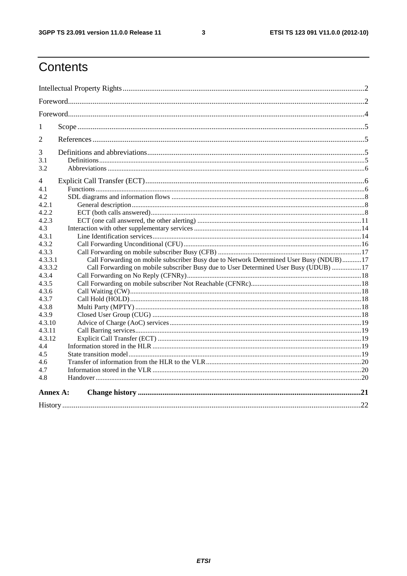$\mathbf{3}$ 

## Contents

| 1              |                                                                                        |  |  |  |  |
|----------------|----------------------------------------------------------------------------------------|--|--|--|--|
| $\overline{2}$ |                                                                                        |  |  |  |  |
| 3              |                                                                                        |  |  |  |  |
| 3.1            |                                                                                        |  |  |  |  |
| 3.2            |                                                                                        |  |  |  |  |
| 4              |                                                                                        |  |  |  |  |
| 4.1            |                                                                                        |  |  |  |  |
| 4.2            |                                                                                        |  |  |  |  |
| 4.2.1          |                                                                                        |  |  |  |  |
| 4.2.2          |                                                                                        |  |  |  |  |
| 4.2.3          |                                                                                        |  |  |  |  |
| 4.3            |                                                                                        |  |  |  |  |
| 4.3.1          |                                                                                        |  |  |  |  |
| 4.3.2          |                                                                                        |  |  |  |  |
| 4.3.3          |                                                                                        |  |  |  |  |
| 4.3.3.1        | Call Forwarding on mobile subscriber Busy due to Network Determined User Busy (NDUB)17 |  |  |  |  |
| 4.3.3.2        | Call Forwarding on mobile subscriber Busy due to User Determined User Busy (UDUB) 17   |  |  |  |  |
| 4.3.4          |                                                                                        |  |  |  |  |
| 4.3.5          |                                                                                        |  |  |  |  |
| 4.3.6          |                                                                                        |  |  |  |  |
| 4.3.7          |                                                                                        |  |  |  |  |
| 4.3.8          |                                                                                        |  |  |  |  |
| 4.3.9          |                                                                                        |  |  |  |  |
| 4.3.10         |                                                                                        |  |  |  |  |
| 4.3.11         |                                                                                        |  |  |  |  |
| 4.3.12         |                                                                                        |  |  |  |  |
| 4.4            |                                                                                        |  |  |  |  |
| 4.5            |                                                                                        |  |  |  |  |
| 4.6            |                                                                                        |  |  |  |  |
| 4.7            |                                                                                        |  |  |  |  |
| 4.8            |                                                                                        |  |  |  |  |
| Annex A:       |                                                                                        |  |  |  |  |
|                |                                                                                        |  |  |  |  |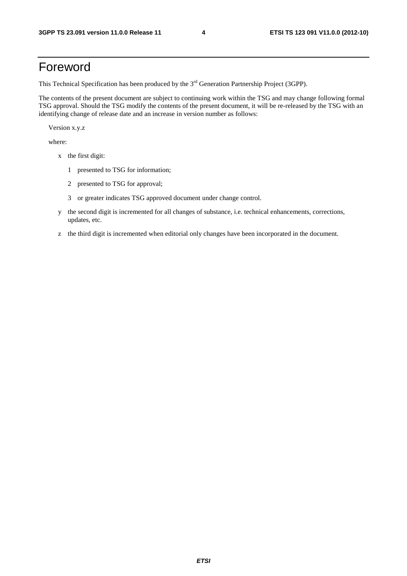## Foreword

This Technical Specification has been produced by the 3<sup>rd</sup> Generation Partnership Project (3GPP).

The contents of the present document are subject to continuing work within the TSG and may change following formal TSG approval. Should the TSG modify the contents of the present document, it will be re-released by the TSG with an identifying change of release date and an increase in version number as follows:

Version x.y.z

where:

- x the first digit:
	- 1 presented to TSG for information;
	- 2 presented to TSG for approval;
	- 3 or greater indicates TSG approved document under change control.
- y the second digit is incremented for all changes of substance, i.e. technical enhancements, corrections, updates, etc.
- z the third digit is incremented when editorial only changes have been incorporated in the document.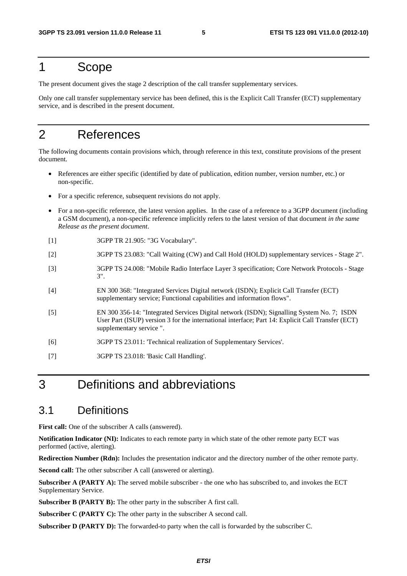## 1 Scope

The present document gives the stage 2 description of the call transfer supplementary services.

Only one call transfer supplementary service has been defined, this is the Explicit Call Transfer (ECT) supplementary service, and is described in the present document.

## 2 References

The following documents contain provisions which, through reference in this text, constitute provisions of the present document.

- References are either specific (identified by date of publication, edition number, version number, etc.) or non-specific.
- For a specific reference, subsequent revisions do not apply.
- For a non-specific reference, the latest version applies. In the case of a reference to a 3GPP document (including a GSM document), a non-specific reference implicitly refers to the latest version of that document *in the same Release as the present document*.
- [1] 3GPP TR 21.905: "3G Vocabulary".
- [2] 3GPP TS 23.083: "Call Waiting (CW) and Call Hold (HOLD) supplementary services Stage 2".
- [3] 3GPP TS 24.008: "Mobile Radio Interface Layer 3 specification; Core Network Protocols Stage 3".
- [4] EN 300 368: "Integrated Services Digital network (ISDN); Explicit Call Transfer (ECT) supplementary service; Functional capabilities and information flows".
- [5] EN 300 356-14: "Integrated Services Digital network (ISDN); Signalling System No. 7; ISDN User Part (ISUP) version 3 for the international interface; Part 14: Explicit Call Transfer (ECT) supplementary service ".
- [6] 3GPP TS 23.011: 'Technical realization of Supplementary Services'.
- [7] 3GPP TS 23.018: 'Basic Call Handling'.

## 3 Definitions and abbreviations

## 3.1 Definitions

**First call:** One of the subscriber A calls (answered).

**Notification Indicator (NI):** Indicates to each remote party in which state of the other remote party ECT was performed (active, alerting).

**Redirection Number (Rdn):** Includes the presentation indicator and the directory number of the other remote party.

**Second call:** The other subscriber A call (answered or alerting).

Subscriber A (PARTY A): The served mobile subscriber - the one who has subscribed to, and invokes the ECT Supplementary Service.

**Subscriber B (PARTY B):** The other party in the subscriber A first call.

**Subscriber C (PARTY C):** The other party in the subscriber A second call.

**Subscriber D (PARTY D):** The forwarded-to party when the call is forwarded by the subscriber C.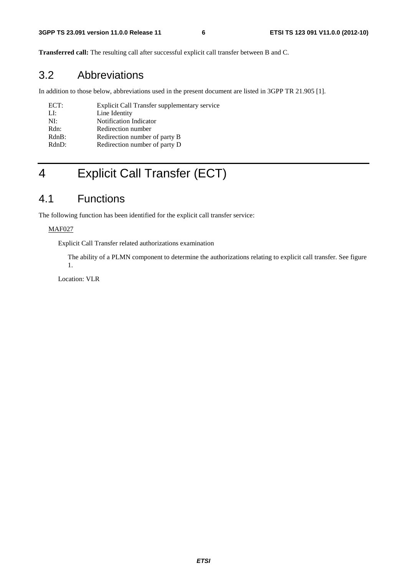**Transferred call:** The resulting call after successful explicit call transfer between B and C.

## 3.2 Abbreviations

In addition to those below, abbreviations used in the present document are listed in 3GPP TR 21.905 [1].

| ECT:      | Explicit Call Transfer supplementary service |
|-----------|----------------------------------------------|
| LI:       | Line Identity                                |
| $N\Gamma$ | Notification Indicator                       |
| Rdn:      | Redirection number                           |
| $RdnB$ :  | Redirection number of party B                |
| RdnD:     | Redirection number of party D                |
|           |                                              |

## 4 Explicit Call Transfer (ECT)

## 4.1 Functions

The following function has been identified for the explicit call transfer service:

#### MAF027

Explicit Call Transfer related authorizations examination

 The ability of a PLMN component to determine the authorizations relating to explicit call transfer. See figure 1.

Location: VLR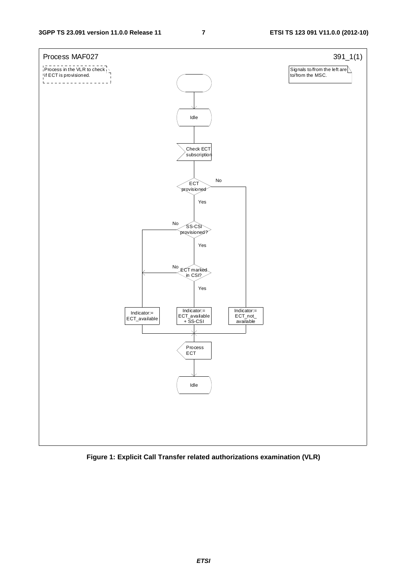

**Figure 1: Explicit Call Transfer related authorizations examination (VLR)** 

*ETSI*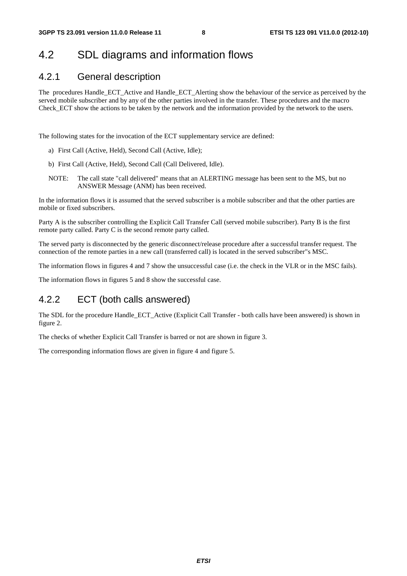## 4.2 SDL diagrams and information flows

## 4.2.1 General description

The procedures Handle\_ECT\_Active and Handle\_ECT\_Alerting show the behaviour of the service as perceived by the served mobile subscriber and by any of the other parties involved in the transfer. These procedures and the macro Check ECT show the actions to be taken by the network and the information provided by the network to the users.

The following states for the invocation of the ECT supplementary service are defined:

- a) First Call (Active, Held), Second Call (Active, Idle);
- b) First Call (Active, Held), Second Call (Call Delivered, Idle).
- NOTE: The call state "call delivered" means that an ALERTING message has been sent to the MS, but no ANSWER Message (ANM) has been received.

In the information flows it is assumed that the served subscriber is a mobile subscriber and that the other parties are mobile or fixed subscribers.

Party A is the subscriber controlling the Explicit Call Transfer Call (served mobile subscriber). Party B is the first remote party called. Party C is the second remote party called.

The served party is disconnected by the generic disconnect/release procedure after a successful transfer request. The connection of the remote parties in a new call (transferred call) is located in the served subscriber"s MSC.

The information flows in figures 4 and 7 show the unsuccessful case (i.e. the check in the VLR or in the MSC fails).

The information flows in figures 5 and 8 show the successful case.

## 4.2.2 ECT (both calls answered)

The SDL for the procedure Handle\_ECT\_Active (Explicit Call Transfer - both calls have been answered) is shown in figure 2.

The checks of whether Explicit Call Transfer is barred or not are shown in figure 3.

The corresponding information flows are given in figure 4 and figure 5.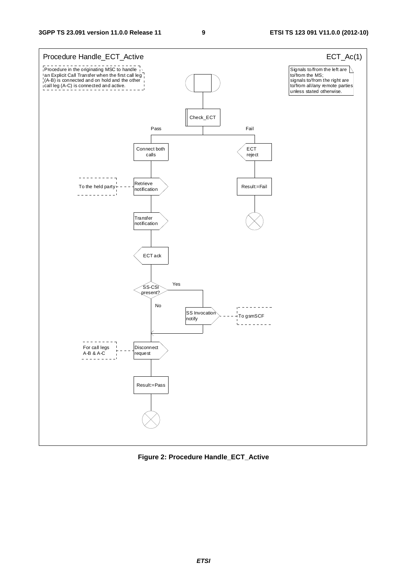

**Figure 2: Procedure Handle\_ECT\_Active**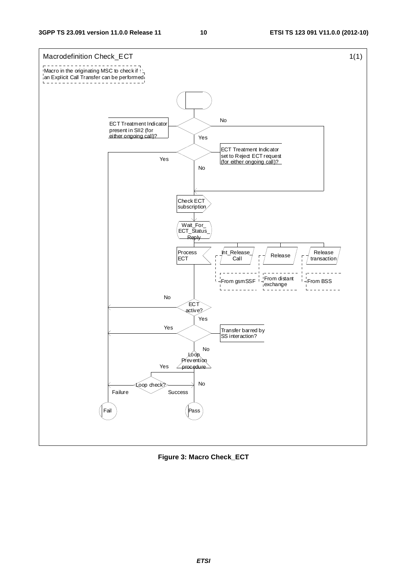

**Figure 3: Macro Check\_ECT**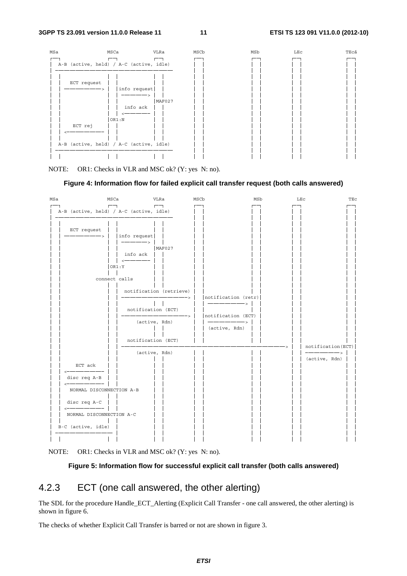

NOTE: OR1: Checks in VLR and MSC ok? (Y: yes N: no).

#### **Figure 4: Information flow for failed explicit call transfer request (both calls answered)**



NOTE: OR1: Checks in VLR and MSC ok? (Y: yes N: no).

#### **Figure 5: Information flow for successful explicit call transfer (both calls answered)**

### 4.2.3 ECT (one call answered, the other alerting)

The SDL for the procedure Handle\_ECT\_Alerting (Explicit Call Transfer - one call answered, the other alerting) is shown in figure 6.

The checks of whether Explicit Call Transfer is barred or not are shown in figure 3.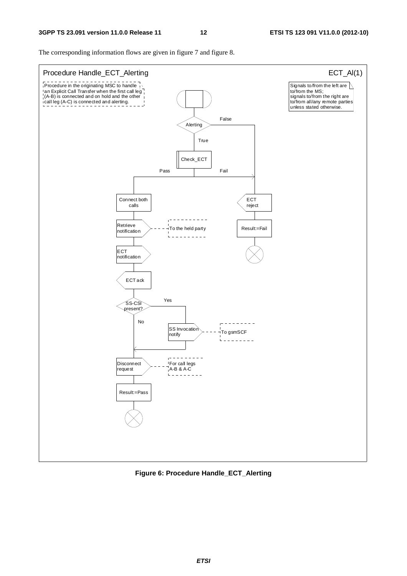The corresponding information flows are given in figure 7 and figure 8.



**Figure 6: Procedure Handle\_ECT\_Alerting**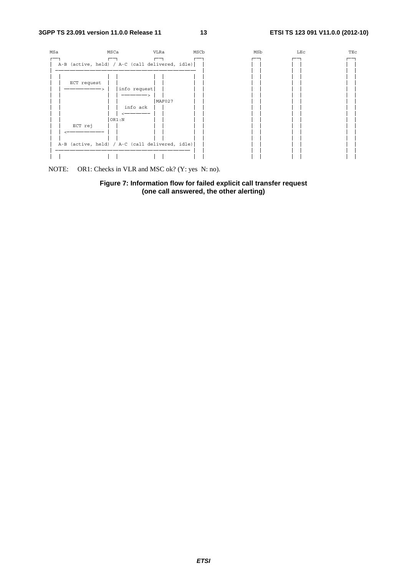

NOTE: OR1: Checks in VLR and MSC ok? (Y: yes N: no).

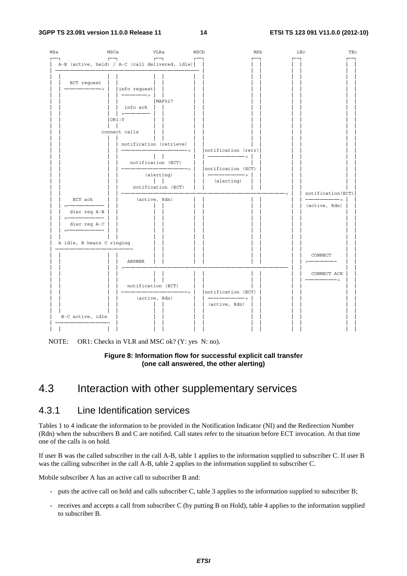

NOTE: OR1: Checks in VLR and MSC ok? (Y: yes N: no).

#### **Figure 8: Information flow for successful explicit call transfer (one call answered, the other alerting)**

## 4.3 Interaction with other supplementary services

### 4.3.1 Line Identification services

Tables 1 to 4 indicate the information to be provided in the Notification Indicator (NI) and the Redirection Number (Rdn) when the subscribers B and C are notified. Call states refer to the situation before ECT invocation. At that time one of the calls is on hold.

If user B was the called subscriber in the call A-B, table 1 applies to the information supplied to subscriber C. If user B was the calling subscriber in the call A-B, table 2 applies to the information supplied to subscriber C.

Mobile subscriber A has an active call to subscriber B and:

- puts the active call on hold and calls subscriber C, table 3 applies to the information supplied to subscriber B;
- receives and accepts a call from subscriber C (by putting B on Hold), table 4 applies to the information supplied to subscriber B.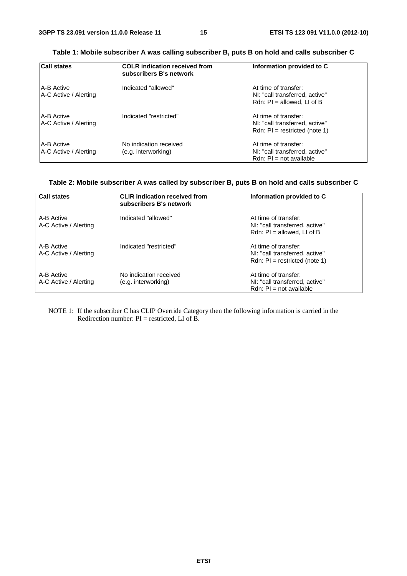| <b>Call states</b>                         | <b>COLR</b> indication received from<br>subscribers B's network | Information provided to C                                                                 |
|--------------------------------------------|-----------------------------------------------------------------|-------------------------------------------------------------------------------------------|
| <b>A-B Active</b><br>A-C Active / Alerting | Indicated "allowed"                                             | At time of transfer:<br>NI: "call transferred, active"<br>Rdn: $PI = allowed$ , LI of B   |
| <b>A-B Active</b><br>A-C Active / Alerting | Indicated "restricted"                                          | At time of transfer:<br>NI: "call transferred, active"<br>Rdn: $PI = restricted (note 1)$ |
| <b>A-B Active</b><br>A-C Active / Alerting | No indication received<br>(e.g. interworking)                   | At time of transfer:<br>NI: "call transferred, active"<br>$Rdn$ : $Pl = not available$    |

#### **Table 1: Mobile subscriber A was calling subscriber B, puts B on hold and calls subscriber C**

#### **Table 2: Mobile subscriber A was called by subscriber B, puts B on hold and calls subscriber C**

| <b>Call states</b>                  | <b>CLIR</b> indication received from<br>subscribers B's network | Information provided to C                                                                 |
|-------------------------------------|-----------------------------------------------------------------|-------------------------------------------------------------------------------------------|
| A-B Active<br>A-C Active / Alerting | Indicated "allowed"                                             | At time of transfer:<br>NI: "call transferred, active"<br>Rdn: $PI = allowed$ . LI of B   |
| A-B Active<br>A-C Active / Alerting | Indicated "restricted"                                          | At time of transfer:<br>NI: "call transferred, active"<br>Rdn: $PI = restricted (note 1)$ |
| A-B Active<br>A-C Active / Alerting | No indication received<br>(e.g. interworking)                   | At time of transfer:<br>NI: "call transferred, active"<br>$Rdn$ : $Pl = not available$    |

NOTE 1: If the subscriber C has CLIP Override Category then the following information is carried in the Redirection number:  $PI = restricted$ , LI of B.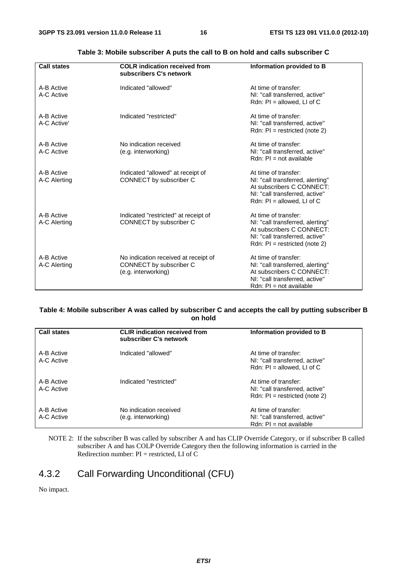| <b>Call states</b>         | <b>COLR</b> indication received from<br>subscribers C's network                        | Information provided to B                                                                                                                                  |
|----------------------------|----------------------------------------------------------------------------------------|------------------------------------------------------------------------------------------------------------------------------------------------------------|
| A-B Active<br>A-C Active   | Indicated "allowed"                                                                    | At time of transfer:<br>NI: "call transferred, active"<br>Rdn: $PI = allowed$ , LI of C                                                                    |
| A-B Active<br>A-C Active'  | Indicated "restricted"                                                                 | At time of transfer:<br>NI: "call transferred, active"<br>Rdn: $PI = restricted (note 2)$                                                                  |
| A-B Active<br>A-C Active   | No indication received<br>(e.g. interworking)                                          | At time of transfer:<br>NI: "call transferred, active"<br>$Rdn$ : $Pl = not available$                                                                     |
| A-B Active<br>A-C Alerting | Indicated "allowed" at receipt of<br>CONNECT by subscriber C                           | At time of transfer:<br>NI: "call transferred, alerting"<br>At subscribers C CONNECT:<br>NI: "call transferred, active"<br>Rdn: $PI = allowed$ , LI of C   |
| A-B Active<br>A-C Alerting | Indicated "restricted" at receipt of<br>CONNECT by subscriber C                        | At time of transfer:<br>NI: "call transferred, alerting"<br>At subscribers C CONNECT:<br>NI: "call transferred, active"<br>Rdn: $PI = restricted (note 2)$ |
| A-B Active<br>A-C Alerting | No indication received at receipt of<br>CONNECT by subscriber C<br>(e.g. interworking) | At time of transfer:<br>NI: "call transferred, alerting"<br>At subscribers C CONNECT:<br>NI: "call transferred, active"<br>$Rdn$ : $Pl = not available$    |

#### **Table 3: Mobile subscriber A puts the call to B on hold and calls subscriber C**

#### **Table 4: Mobile subscriber A was called by subscriber C and accepts the call by putting subscriber B on hold**

| <b>Call states</b>       | <b>CLIR</b> indication received from<br>subscriber C's network | Information provided to B                                                                 |
|--------------------------|----------------------------------------------------------------|-------------------------------------------------------------------------------------------|
| A-B Active<br>A-C Active | Indicated "allowed"                                            | At time of transfer:<br>NI: "call transferred, active"<br>Rdn: $PI = allowed$ , LI of C   |
| A-B Active<br>A-C Active | Indicated "restricted"                                         | At time of transfer:<br>NI: "call transferred, active"<br>Rdn: $PI = restricted (note 2)$ |
| A-B Active<br>A-C Active | No indication received<br>(e.g. interworking)                  | At time of transfer:<br>NI: "call transferred, active"<br>$Rdn$ : PI = not available      |

NOTE 2: If the subscriber B was called by subscriber A and has CLIP Override Category, or if subscriber B called subscriber A and has COLP Override Category then the following information is carried in the Redirection number:  $PI = restricted$ , LI of C

## 4.3.2 Call Forwarding Unconditional (CFU)

No impact.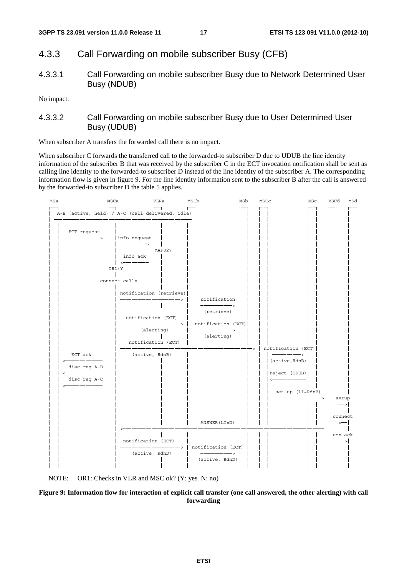### 4.3.3 Call Forwarding on mobile subscriber Busy (CFB)

4.3.3.1 Call Forwarding on mobile subscriber Busy due to Network Determined User Busy (NDUB)

No impact.

#### 4.3.3.2 Call Forwarding on mobile subscriber Busy due to User Determined User Busy (UDUB)

When subscriber A transfers the forwarded call there is no impact.

When subscriber C forwards the transferred call to the forwarded-to subscriber D due to UDUB the line identity information of the subscriber B that was received by the subscriber C in the ECT invocation notification shall be sent as calling line identity to the forwarded-to subscriber D instead of the line identity of the subscriber A. The corresponding information flow is given in figure 9. For the line identity information sent to the subscriber B after the call is answered by the forwarded-to subscriber D the table 5 applies.





#### **Figure 9: Information flow for interaction of explicit call transfer (one call answered, the other alerting) with call forwarding**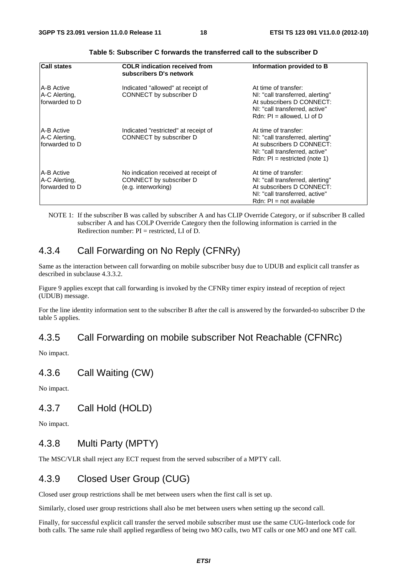| <b>Call states</b>                             | <b>COLR</b> indication received from<br>subscribers D's network                        | Information provided to B                                                                                                                                  |
|------------------------------------------------|----------------------------------------------------------------------------------------|------------------------------------------------------------------------------------------------------------------------------------------------------------|
| IA-B Active<br>A-C Alerting,<br>forwarded to D | Indicated "allowed" at receipt of<br>CONNECT by subscriber D                           | At time of transfer:<br>NI: "call transferred, alerting"<br>At subscribers D CONNECT:<br>NI: "call transferred, active"<br>Rdn: $PI = allowed$ , LI of D   |
| IA-B Active<br>A-C Alerting,<br>forwarded to D | Indicated "restricted" at receipt of<br>CONNECT by subscriber D                        | At time of transfer:<br>NI: "call transferred, alerting"<br>At subscribers D CONNECT:<br>NI: "call transferred, active"<br>Rdn: $PI = restricted (note 1)$ |
| IA-B Active<br>A-C Alerting,<br>forwarded to D | No indication received at receipt of<br>CONNECT by subscriber D<br>(e.g. interworking) | At time of transfer:<br>NI: "call transferred, alerting"<br>At subscribers D CONNECT:<br>NI: "call transferred, active"<br>$Rdn$ : $Pl = not available$    |

NOTE 1: If the subscriber B was called by subscriber A and has CLIP Override Category, or if subscriber B called subscriber A and has COLP Override Category then the following information is carried in the Redirection number: PI = restricted, LI of D.

## 4.3.4 Call Forwarding on No Reply (CFNRy)

Same as the interaction between call forwarding on mobile subscriber busy due to UDUB and explicit call transfer as described in subclause 4.3.3.2.

Figure 9 applies except that call forwarding is invoked by the CFNRy timer expiry instead of reception of reject (UDUB) message.

For the line identity information sent to the subscriber B after the call is answered by the forwarded-to subscriber D the table 5 applies.

### 4.3.5 Call Forwarding on mobile subscriber Not Reachable (CFNRc)

No impact.

## 4.3.6 Call Waiting (CW)

No impact.

#### 4.3.7 Call Hold (HOLD)

No impact.

## 4.3.8 Multi Party (MPTY)

The MSC/VLR shall reject any ECT request from the served subscriber of a MPTY call.

## 4.3.9 Closed User Group (CUG)

Closed user group restrictions shall be met between users when the first call is set up.

Similarly, closed user group restrictions shall also be met between users when setting up the second call.

Finally, for successful explicit call transfer the served mobile subscriber must use the same CUG-Interlock code for both calls. The same rule shall applied regardless of being two MO calls, two MT calls or one MO and one MT call.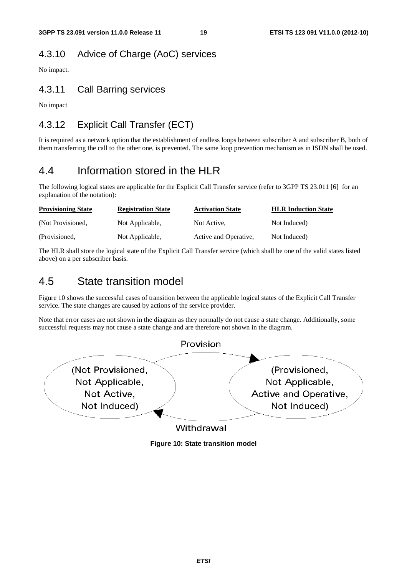## 4.3.10 Advice of Charge (AoC) services

No impact.

## 4.3.11 Call Barring services

No impact

## 4.3.12 Explicit Call Transfer (ECT)

It is required as a network option that the establishment of endless loops between subscriber A and subscriber B, both of them transferring the call to the other one, is prevented. The same loop prevention mechanism as in ISDN shall be used.

## 4.4 Information stored in the HLR

The following logical states are applicable for the Explicit Call Transfer service (refer to 3GPP TS 23.011 [6] for an explanation of the notation):

| <b>Provisioning State</b> | <b>Registration State</b> | <b>Activation State</b> | <b>HLR Induction State</b> |
|---------------------------|---------------------------|-------------------------|----------------------------|
| (Not Provisioned,         | Not Applicable,           | Not Active.             | Not Induced)               |
| (Provisioned,             | Not Applicable,           | Active and Operative,   | Not Induced)               |

The HLR shall store the logical state of the Explicit Call Transfer service (which shall be one of the valid states listed above) on a per subscriber basis.

## 4.5 State transition model

Figure 10 shows the successful cases of transition between the applicable logical states of the Explicit Call Transfer service. The state changes are caused by actions of the service provider.

Note that error cases are not shown in the diagram as they normally do not cause a state change. Additionally, some successful requests may not cause a state change and are therefore not shown in the diagram.



**Figure 10: State transition model**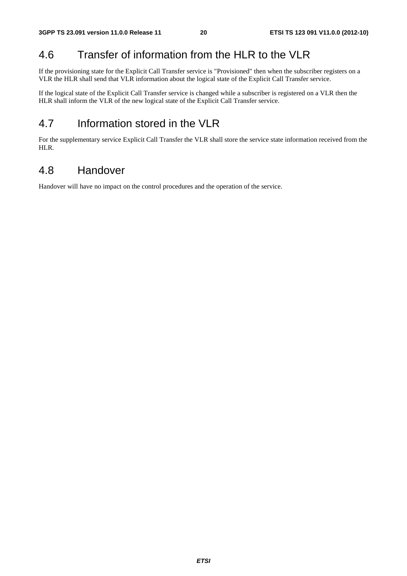## 4.6 Transfer of information from the HLR to the VLR

If the provisioning state for the Explicit Call Transfer service is "Provisioned" then when the subscriber registers on a VLR the HLR shall send that VLR information about the logical state of the Explicit Call Transfer service.

If the logical state of the Explicit Call Transfer service is changed while a subscriber is registered on a VLR then the HLR shall inform the VLR of the new logical state of the Explicit Call Transfer service.

## 4.7 Information stored in the VLR

For the supplementary service Explicit Call Transfer the VLR shall store the service state information received from the HLR.

## 4.8 Handover

Handover will have no impact on the control procedures and the operation of the service.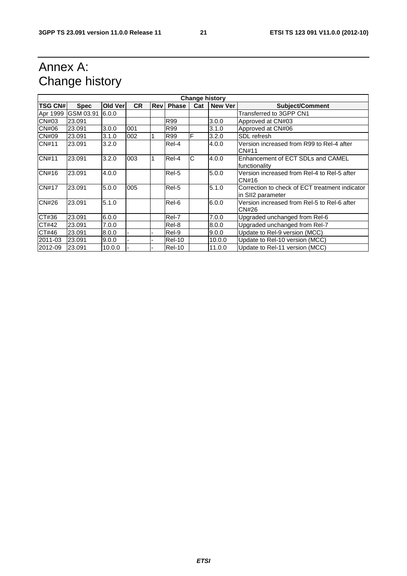## Annex A: Change history

| <b>Change history</b> |             |          |           |            |               |     |                |                                                                     |
|-----------------------|-------------|----------|-----------|------------|---------------|-----|----------------|---------------------------------------------------------------------|
| <b>TSG CN#</b>        | <b>Spec</b> | Old Verl | <b>CR</b> | <b>Rev</b> | <b>Phase</b>  | Cat | <b>New Ver</b> | <b>Subject/Comment</b>                                              |
| Apr 1999              | GSM 03.91   | 6.0.0    |           |            |               |     |                | Transferred to 3GPP CN1                                             |
| CN#03                 | 23.091      |          |           |            | R99           |     | 3.0.0          | Approved at CN#03                                                   |
| CN#06                 | 23.091      | 3.0.0    | 001       |            | R99           |     | 3.1.0          | Approved at CN#06                                                   |
| CN#09                 | 23.091      | 3.1.0    | 002       |            | R99           | F   | 3.2.0          | SDL refresh                                                         |
| CN#11                 | 23.091      | 3.2.0    |           |            | Rel-4         |     | 4.0.0          | Version increased from R99 to Rel-4 after<br>CN#11                  |
| <b>CN#11</b>          | 23.091      | 3.2.0    | 003       | 1          | Rel-4         | С   | 4.0.0          | Enhancement of ECT SDLs and CAMEL<br>functionality                  |
| CN#16                 | 23.091      | 4.0.0    |           |            | Rel-5         |     | 5.0.0          | Version increased from Rel-4 to Rel-5 after<br>CN#16                |
| <b>CN#17</b>          | 23.091      | 5.0.0    | 005       |            | Rel-5         |     | 5.1.0          | Correction to check of ECT treatment indicator<br>in SII2 parameter |
| <b>CN#26</b>          | 23.091      | 5.1.0    |           |            | Rel-6         |     | 6.0.0          | Version increased from Rel-5 to Rel-6 after<br>CN#26                |
| CT#36                 | 23.091      | 6.0.0    |           |            | Rel-7         |     | 7.0.0          | Upgraded unchanged from Rel-6                                       |
| CT#42                 | 23.091      | 7.0.0    |           |            | Rel-8         |     | 8.0.0          | Upgraded unchanged from Rel-7                                       |
| CT#46                 | 23.091      | 8.0.0    |           |            | Rel-9         |     | 9.0.0          | Update to Rel-9 version (MCC)                                       |
| 2011-03               | 23.091      | 9.0.0    |           |            | <b>Rel-10</b> |     | 10.0.0         | Update to Rel-10 version (MCC)                                      |
| 2012-09               | 23.091      | 10.0.0   |           |            | <b>Rel-10</b> |     | 11.0.0         | Update to Rel-11 version (MCC)                                      |